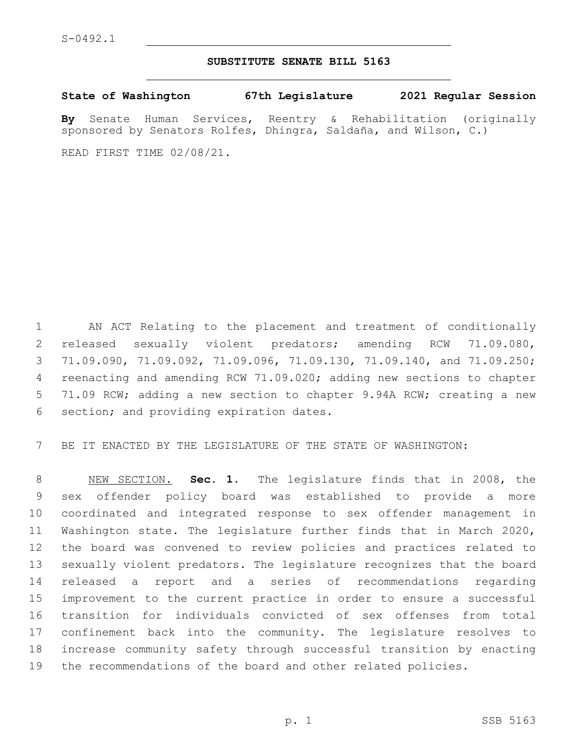## **SUBSTITUTE SENATE BILL 5163**

**State of Washington 67th Legislature 2021 Regular Session**

**By** Senate Human Services, Reentry & Rehabilitation (originally sponsored by Senators Rolfes, Dhingra, Saldaña, and Wilson, C.)

READ FIRST TIME 02/08/21.

 AN ACT Relating to the placement and treatment of conditionally released sexually violent predators; amending RCW 71.09.080, 71.09.090, 71.09.092, 71.09.096, 71.09.130, 71.09.140, and 71.09.250; reenacting and amending RCW 71.09.020; adding new sections to chapter 71.09 RCW; adding a new section to chapter 9.94A RCW; creating a new 6 section; and providing expiration dates.

BE IT ENACTED BY THE LEGISLATURE OF THE STATE OF WASHINGTON:

 NEW SECTION. **Sec. 1.** The legislature finds that in 2008, the sex offender policy board was established to provide a more coordinated and integrated response to sex offender management in Washington state. The legislature further finds that in March 2020, the board was convened to review policies and practices related to sexually violent predators. The legislature recognizes that the board released a report and a series of recommendations regarding improvement to the current practice in order to ensure a successful transition for individuals convicted of sex offenses from total confinement back into the community. The legislature resolves to increase community safety through successful transition by enacting the recommendations of the board and other related policies.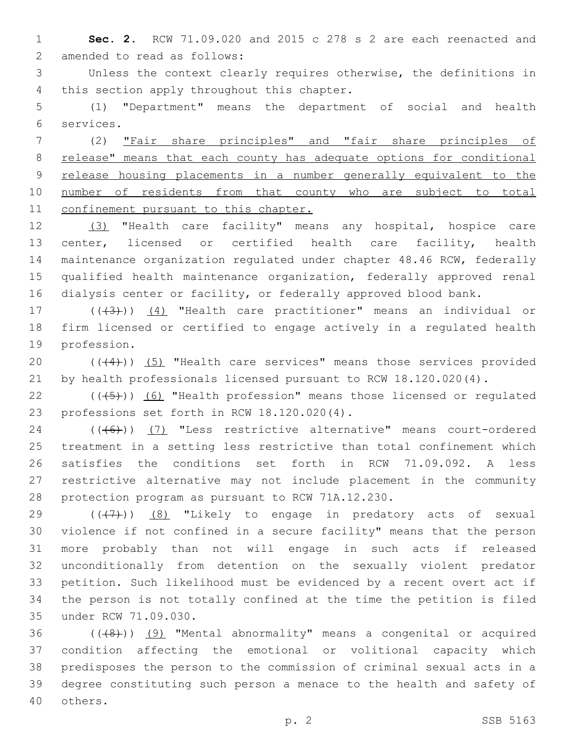**Sec. 2.** RCW 71.09.020 and 2015 c 278 s 2 are each reenacted and 2 amended to read as follows:

 Unless the context clearly requires otherwise, the definitions in 4 this section apply throughout this chapter.

 (1) "Department" means the department of social and health services.6

 (2) "Fair share principles" and "fair share principles of release" means that each county has adequate options for conditional release housing placements in a number generally equivalent to the 10 number of residents from that county who are subject to total 11 confinement pursuant to this chapter.

 (3) "Health care facility" means any hospital, hospice care center, licensed or certified health care facility, health maintenance organization regulated under chapter 48.46 RCW, federally qualified health maintenance organization, federally approved renal dialysis center or facility, or federally approved blood bank.

17 (((43))) (4) "Health care practitioner" means an individual or firm licensed or certified to engage actively in a regulated health 19 profession.

20 (((4))) (5) "Health care services" means those services provided by health professionals licensed pursuant to RCW 18.120.020(4).

 $((\overline{5})$  (6) "Health profession" means those licensed or regulated 23 professions set forth in RCW 18.120.020(4).

24 (((6)) (7) "Less restrictive alternative" means court-ordered treatment in a setting less restrictive than total confinement which satisfies the conditions set forth in RCW 71.09.092. A less restrictive alternative may not include placement in the community 28 protection program as pursuant to RCW 71A.12.230.

 $((+7+))$  (8) "Likely to engage in predatory acts of sexual violence if not confined in a secure facility" means that the person more probably than not will engage in such acts if released unconditionally from detention on the sexually violent predator petition. Such likelihood must be evidenced by a recent overt act if the person is not totally confined at the time the petition is filed 35 under RCW 71.09.030.

 ( $(48)$ )) (9) "Mental abnormality" means a congenital or acquired condition affecting the emotional or volitional capacity which predisposes the person to the commission of criminal sexual acts in a degree constituting such person a menace to the health and safety of 40 others.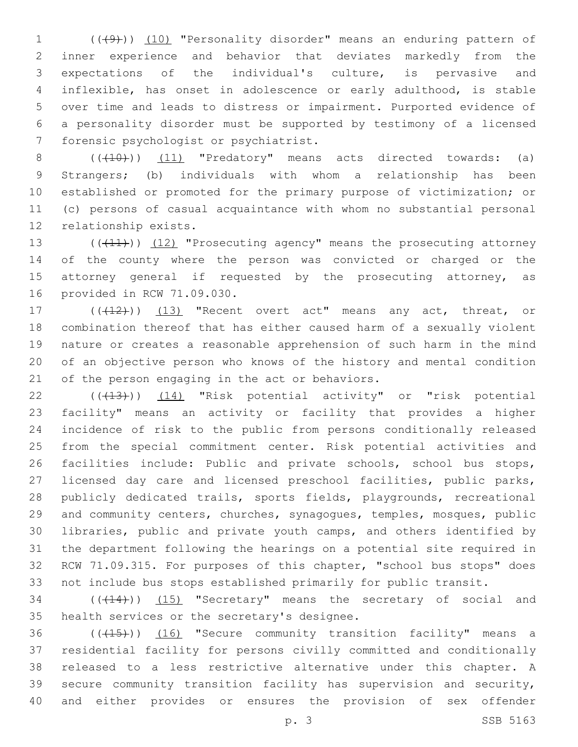1 (((49))) (10) "Personality disorder" means an enduring pattern of inner experience and behavior that deviates markedly from the expectations of the individual's culture, is pervasive and inflexible, has onset in adolescence or early adulthood, is stable over time and leads to distress or impairment. Purported evidence of a personality disorder must be supported by testimony of a licensed 7 forensic psychologist or psychiatrist.

 $((+10))$   $(11)$  "Predatory" means acts directed towards: (a) Strangers; (b) individuals with whom a relationship has been established or promoted for the primary purpose of victimization; or (c) persons of casual acquaintance with whom no substantial personal 12 relationship exists.

13 ((+11)) (12) "Prosecuting agency" means the prosecuting attorney of the county where the person was convicted or charged or the 15 attorney general if requested by the prosecuting attorney, as 16 provided in RCW 71.09.030.

17 (((412))) (13) "Recent overt act" means any act, threat, or combination thereof that has either caused harm of a sexually violent nature or creates a reasonable apprehension of such harm in the mind of an objective person who knows of the history and mental condition 21 of the person engaging in the act or behaviors.

22 (( $(43)$ )) (14) "Risk potential activity" or "risk potential facility" means an activity or facility that provides a higher incidence of risk to the public from persons conditionally released from the special commitment center. Risk potential activities and 26 facilities include: Public and private schools, school bus stops, licensed day care and licensed preschool facilities, public parks, publicly dedicated trails, sports fields, playgrounds, recreational and community centers, churches, synagogues, temples, mosques, public libraries, public and private youth camps, and others identified by the department following the hearings on a potential site required in RCW 71.09.315. For purposes of this chapter, "school bus stops" does not include bus stops established primarily for public transit.

34 (( $(14)$ )) (15) "Secretary" means the secretary of social and 35 health services or the secretary's designee.

36 (((15))) (16) "Secure community transition facility" means a residential facility for persons civilly committed and conditionally released to a less restrictive alternative under this chapter. A secure community transition facility has supervision and security, and either provides or ensures the provision of sex offender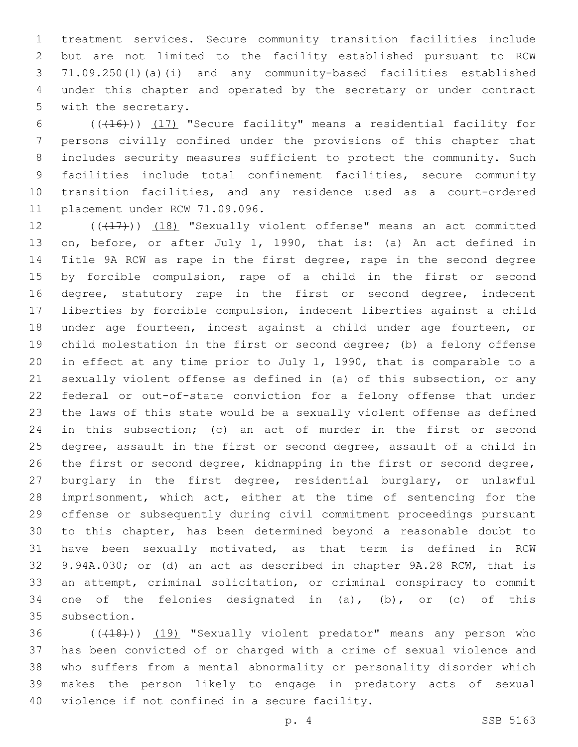treatment services. Secure community transition facilities include but are not limited to the facility established pursuant to RCW 71.09.250(1)(a)(i) and any community-based facilities established under this chapter and operated by the secretary or under contract 5 with the secretary.

6 (((416)) (17) "Secure facility" means a residential facility for persons civilly confined under the provisions of this chapter that includes security measures sufficient to protect the community. Such facilities include total confinement facilities, secure community transition facilities, and any residence used as a court-ordered 11 placement under RCW 71.09.096.

12 (((17))) (18) "Sexually violent offense" means an act committed on, before, or after July 1, 1990, that is: (a) An act defined in Title 9A RCW as rape in the first degree, rape in the second degree by forcible compulsion, rape of a child in the first or second degree, statutory rape in the first or second degree, indecent liberties by forcible compulsion, indecent liberties against a child under age fourteen, incest against a child under age fourteen, or child molestation in the first or second degree; (b) a felony offense in effect at any time prior to July 1, 1990, that is comparable to a sexually violent offense as defined in (a) of this subsection, or any federal or out-of-state conviction for a felony offense that under the laws of this state would be a sexually violent offense as defined in this subsection; (c) an act of murder in the first or second degree, assault in the first or second degree, assault of a child in the first or second degree, kidnapping in the first or second degree, burglary in the first degree, residential burglary, or unlawful 28 imprisonment, which act, either at the time of sentencing for the offense or subsequently during civil commitment proceedings pursuant to this chapter, has been determined beyond a reasonable doubt to have been sexually motivated, as that term is defined in RCW 9.94A.030; or (d) an act as described in chapter 9A.28 RCW, that is an attempt, criminal solicitation, or criminal conspiracy to commit 34 one of the felonies designated in  $(a)$ ,  $(b)$ , or  $(c)$  of this 35 subsection.

36 (((18))) (19) "Sexually violent predator" means any person who has been convicted of or charged with a crime of sexual violence and who suffers from a mental abnormality or personality disorder which makes the person likely to engage in predatory acts of sexual 40 violence if not confined in a secure facility.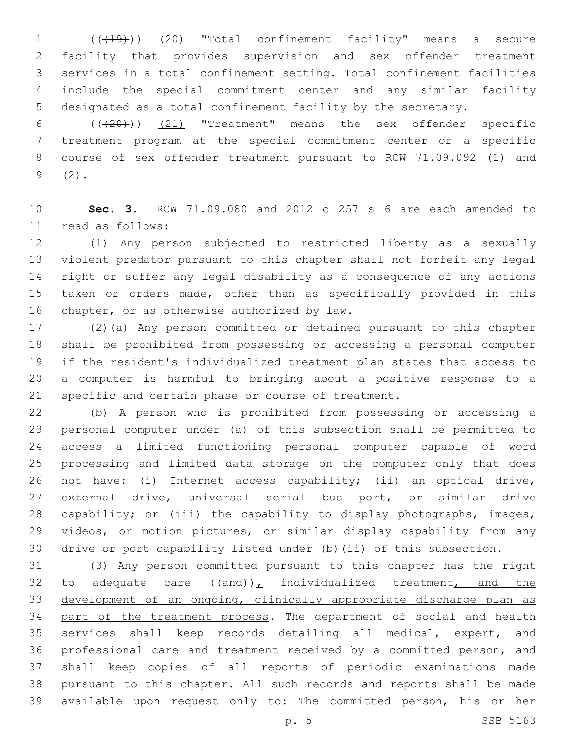(((19))) (20) "Total confinement facility" means a secure facility that provides supervision and sex offender treatment services in a total confinement setting. Total confinement facilities include the special commitment center and any similar facility designated as a total confinement facility by the secretary.

 $((+20))$   $(21)$  "Treatment" means the sex offender specific treatment program at the special commitment center or a specific course of sex offender treatment pursuant to RCW 71.09.092 (1) and  $9(2)$ .

 **Sec. 3.** RCW 71.09.080 and 2012 c 257 s 6 are each amended to 11 read as follows:

 (1) Any person subjected to restricted liberty as a sexually violent predator pursuant to this chapter shall not forfeit any legal right or suffer any legal disability as a consequence of any actions taken or orders made, other than as specifically provided in this 16 chapter, or as otherwise authorized by law.

 (2)(a) Any person committed or detained pursuant to this chapter shall be prohibited from possessing or accessing a personal computer if the resident's individualized treatment plan states that access to a computer is harmful to bringing about a positive response to a specific and certain phase or course of treatment.

 (b) A person who is prohibited from possessing or accessing a personal computer under (a) of this subsection shall be permitted to access a limited functioning personal computer capable of word processing and limited data storage on the computer only that does not have: (i) Internet access capability; (ii) an optical drive, external drive, universal serial bus port, or similar drive capability; or (iii) the capability to display photographs, images, videos, or motion pictures, or similar display capability from any drive or port capability listed under (b)(ii) of this subsection.

 (3) Any person committed pursuant to this chapter has the right 32 to adequate care  $((and))_L$  individualized treatment, and the development of an ongoing, clinically appropriate discharge plan as 34 part of the treatment process. The department of social and health services shall keep records detailing all medical, expert, and professional care and treatment received by a committed person, and shall keep copies of all reports of periodic examinations made pursuant to this chapter. All such records and reports shall be made available upon request only to: The committed person, his or her

p. 5 SSB 5163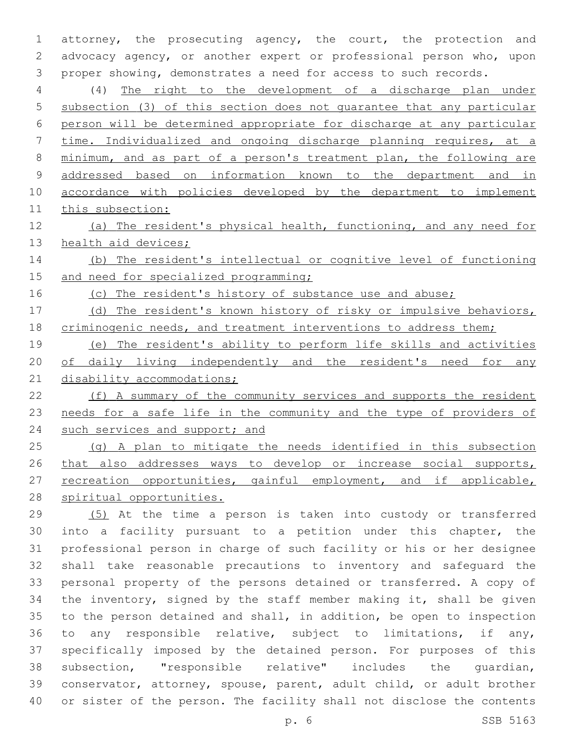attorney, the prosecuting agency, the court, the protection and advocacy agency, or another expert or professional person who, upon proper showing, demonstrates a need for access to such records.

 (4) The right to the development of a discharge plan under subsection (3) of this section does not guarantee that any particular person will be determined appropriate for discharge at any particular time. Individualized and ongoing discharge planning requires, at a minimum, and as part of a person's treatment plan, the following are addressed based on information known to the department and in 10 accordance with policies developed by the department to implement this subsection:

 (a) The resident's physical health, functioning, and any need for 13 health aid devices;

 (b) The resident's intellectual or cognitive level of functioning 15 and need for specialized programming;

16 (c) The resident's history of substance use and abuse;

 (d) The resident's known history of risky or impulsive behaviors, 18 criminogenic needs, and treatment interventions to address them;

 (e) The resident's ability to perform life skills and activities 20 of daily living independently and the resident's need for any 21 disability accommodations;

 (f) A summary of the community services and supports the resident needs for a safe life in the community and the type of providers of 24 such services and support; and

 (g) A plan to mitigate the needs identified in this subsection 26 that also addresses ways to develop or increase social supports, 27 recreation opportunities, gainful employment, and if applicable, spiritual opportunities.

 (5) At the time a person is taken into custody or transferred into a facility pursuant to a petition under this chapter, the professional person in charge of such facility or his or her designee shall take reasonable precautions to inventory and safeguard the personal property of the persons detained or transferred. A copy of the inventory, signed by the staff member making it, shall be given to the person detained and shall, in addition, be open to inspection to any responsible relative, subject to limitations, if any, specifically imposed by the detained person. For purposes of this subsection, "responsible relative" includes the guardian, conservator, attorney, spouse, parent, adult child, or adult brother or sister of the person. The facility shall not disclose the contents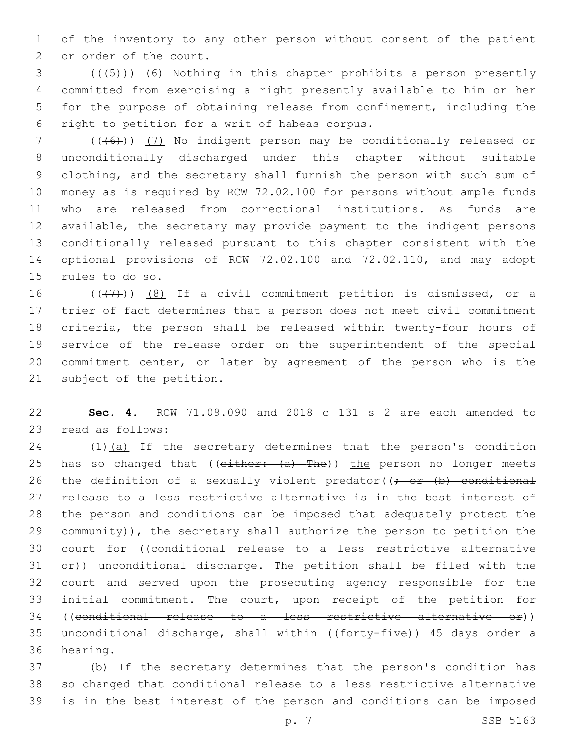1 of the inventory to any other person without consent of the patient 2 or order of the court.

3 (((45))) (6) Nothing in this chapter prohibits a person presently 4 committed from exercising a right presently available to him or her 5 for the purpose of obtaining release from confinement, including the 6 right to petition for a writ of habeas corpus.

 (((6))) (7) No indigent person may be conditionally released or unconditionally discharged under this chapter without suitable clothing, and the secretary shall furnish the person with such sum of money as is required by RCW 72.02.100 for persons without ample funds who are released from correctional institutions. As funds are available, the secretary may provide payment to the indigent persons conditionally released pursuant to this chapter consistent with the optional provisions of RCW 72.02.100 and 72.02.110, and may adopt 15 rules to do so.

 $((+7+))$   $(8)$  If a civil commitment petition is dismissed, or a trier of fact determines that a person does not meet civil commitment criteria, the person shall be released within twenty-four hours of service of the release order on the superintendent of the special commitment center, or later by agreement of the person who is the 21 subject of the petition.

22 **Sec. 4.** RCW 71.09.090 and 2018 c 131 s 2 are each amended to 23 read as follows:

24 (1)(a) If the secretary determines that the person's condition 25 has so changed that (( $e$ ither:  $(a)$  The)) the person no longer meets 26 the definition of a sexually violent predator( $\rightarrow$  or  $(b)$  conditional 27 release to a less restrictive alternative is in the best interest of 28 the person and conditions can be imposed that adequately protect the 29 community)), the secretary shall authorize the person to petition the 30 court for ((conditional release to a less restrictive alternative  $31$   $e^{2}$ )) unconditional discharge. The petition shall be filed with the 32 court and served upon the prosecuting agency responsible for the 33 initial commitment. The court, upon receipt of the petition for 34 ((conditional release to a less restrictive alternative or)) 35 unconditional discharge, shall within (( $f$ orty-five))  $45$  days order a 36 hearing.

37 (b) If the secretary determines that the person's condition has 38 so changed that conditional release to a less restrictive alternative 39 is in the best interest of the person and conditions can be imposed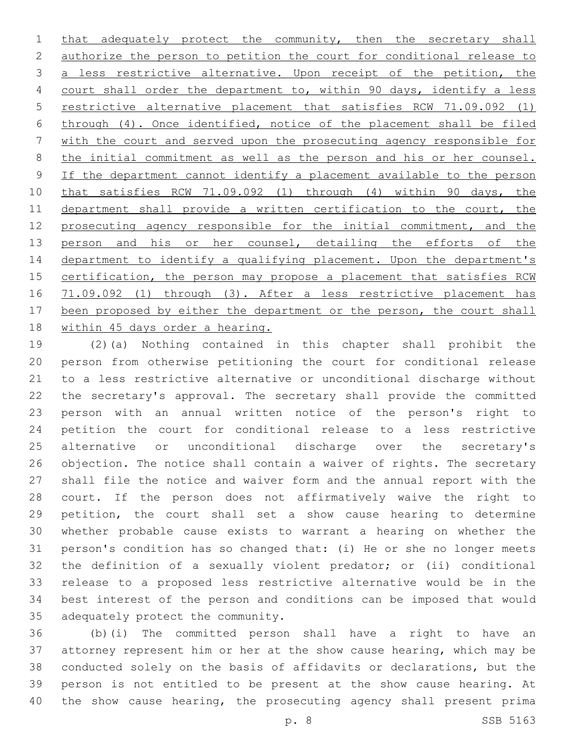1 that adequately protect the community, then the secretary shall authorize the person to petition the court for conditional release to a less restrictive alternative. Upon receipt of the petition, the 4 court shall order the department to, within 90 days, identify a less restrictive alternative placement that satisfies RCW 71.09.092 (1) through (4). Once identified, notice of the placement shall be filed with the court and served upon the prosecuting agency responsible for the initial commitment as well as the person and his or her counsel. If the department cannot identify a placement available to the person that satisfies RCW 71.09.092 (1) through (4) within 90 days, the 11 department shall provide a written certification to the court, the 12 prosecuting agency responsible for the initial commitment, and the 13 person and his or her counsel, detailing the efforts of the 14 department to identify a qualifying placement. Upon the department's 15 certification, the person may propose a placement that satisfies RCW 71.09.092 (1) through (3). After a less restrictive placement has 17 been proposed by either the department or the person, the court shall 18 within 45 days order a hearing.

 (2)(a) Nothing contained in this chapter shall prohibit the person from otherwise petitioning the court for conditional release to a less restrictive alternative or unconditional discharge without the secretary's approval. The secretary shall provide the committed person with an annual written notice of the person's right to petition the court for conditional release to a less restrictive alternative or unconditional discharge over the secretary's objection. The notice shall contain a waiver of rights. The secretary shall file the notice and waiver form and the annual report with the court. If the person does not affirmatively waive the right to petition, the court shall set a show cause hearing to determine whether probable cause exists to warrant a hearing on whether the person's condition has so changed that: (i) He or she no longer meets the definition of a sexually violent predator; or (ii) conditional release to a proposed less restrictive alternative would be in the best interest of the person and conditions can be imposed that would 35 adequately protect the community.

 (b)(i) The committed person shall have a right to have an attorney represent him or her at the show cause hearing, which may be conducted solely on the basis of affidavits or declarations, but the person is not entitled to be present at the show cause hearing. At the show cause hearing, the prosecuting agency shall present prima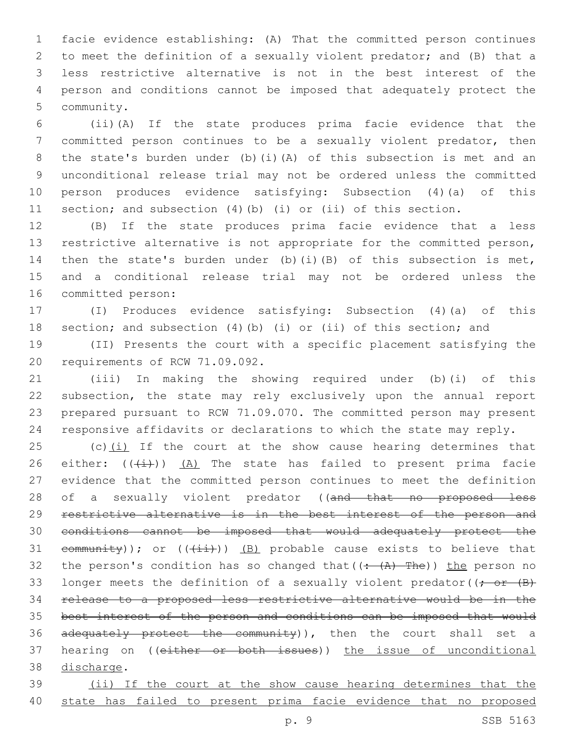facie evidence establishing: (A) That the committed person continues to meet the definition of a sexually violent predator; and (B) that a less restrictive alternative is not in the best interest of the person and conditions cannot be imposed that adequately protect the 5 community.

 (ii)(A) If the state produces prima facie evidence that the committed person continues to be a sexually violent predator, then the state's burden under (b)(i)(A) of this subsection is met and an unconditional release trial may not be ordered unless the committed person produces evidence satisfying: Subsection (4)(a) of this section; and subsection (4)(b) (i) or (ii) of this section.

 (B) If the state produces prima facie evidence that a less restrictive alternative is not appropriate for the committed person, then the state's burden under (b)(i)(B) of this subsection is met, and a conditional release trial may not be ordered unless the 16 committed person:

 (I) Produces evidence satisfying: Subsection (4)(a) of this section; and subsection (4)(b) (i) or (ii) of this section; and

 (II) Presents the court with a specific placement satisfying the 20 requirements of RCW 71.09.092.

 (iii) In making the showing required under (b)(i) of this subsection, the state may rely exclusively upon the annual report prepared pursuant to RCW 71.09.070. The committed person may present responsive affidavits or declarations to which the state may reply.

25 (c) $(i)$  If the court at the show cause hearing determines that 26 either:  $((+i))$   $(A)$  The state has failed to present prima facie evidence that the committed person continues to meet the definition 28 of a sexually violent predator ((and that no proposed less restrictive alternative is in the best interest of the person and conditions cannot be imposed that would adequately protect the 31 community)); or  $((+i+1))$  (B) probable cause exists to believe that 32 the person's condition has so changed that  $((\div(A)-The))$  the person no 33 longer meets the definition of a sexually violent predator( $\rightarrow$   $\rightarrow$   $\rightarrow$  release to a proposed less restrictive alternative would be in the 35 best interest of the person and conditions can be imposed that would 36 adequately protect the community)), then the court shall set a 37 hearing on ((either or both issues)) the issue of unconditional 38 discharge.

 (ii) If the court at the show cause hearing determines that the 40 state has failed to present prima facie evidence that no proposed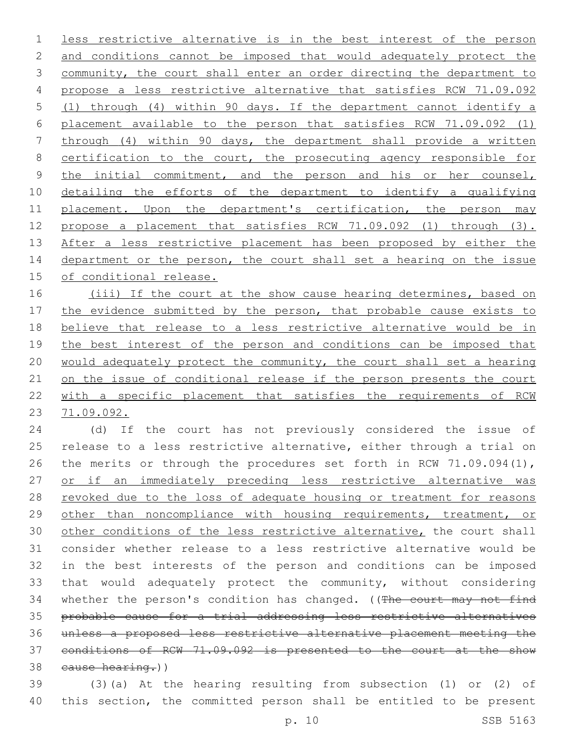less restrictive alternative is in the best interest of the person 2 and conditions cannot be imposed that would adequately protect the 3 community, the court shall enter an order directing the department to propose a less restrictive alternative that satisfies RCW 71.09.092 (1) through (4) within 90 days. If the department cannot identify a placement available to the person that satisfies RCW 71.09.092 (1) through (4) within 90 days, the department shall provide a written 8 certification to the court, the prosecuting agency responsible for the initial commitment, and the person and his or her counsel, detailing the efforts of the department to identify a qualifying placement. Upon the department's certification, the person may propose a placement that satisfies RCW 71.09.092 (1) through (3). After a less restrictive placement has been proposed by either the 14 department or the person, the court shall set a hearing on the issue 15 of conditional release.

16 (iii) If the court at the show cause hearing determines, based on 17 the evidence submitted by the person, that probable cause exists to believe that release to a less restrictive alternative would be in 19 the best interest of the person and conditions can be imposed that would adequately protect the community, the court shall set a hearing 21 on the issue of conditional release if the person presents the court with a specific placement that satisfies the requirements of RCW 71.09.092.

 (d) If the court has not previously considered the issue of release to a less restrictive alternative, either through a trial on 26 the merits or through the procedures set forth in RCW 71.09.094(1), or if an immediately preceding less restrictive alternative was 28 revoked due to the loss of adequate housing or treatment for reasons 29 other than noncompliance with housing requirements, treatment, or 30 other conditions of the less restrictive alternative, the court shall consider whether release to a less restrictive alternative would be in the best interests of the person and conditions can be imposed that would adequately protect the community, without considering 34 whether the person's condition has changed. ((The court may not find probable cause for a trial addressing less restrictive alternatives unless a proposed less restrictive alternative placement meeting the conditions of RCW 71.09.092 is presented to the court at the show 38 cause hearing.))

 (3)(a) At the hearing resulting from subsection (1) or (2) of this section, the committed person shall be entitled to be present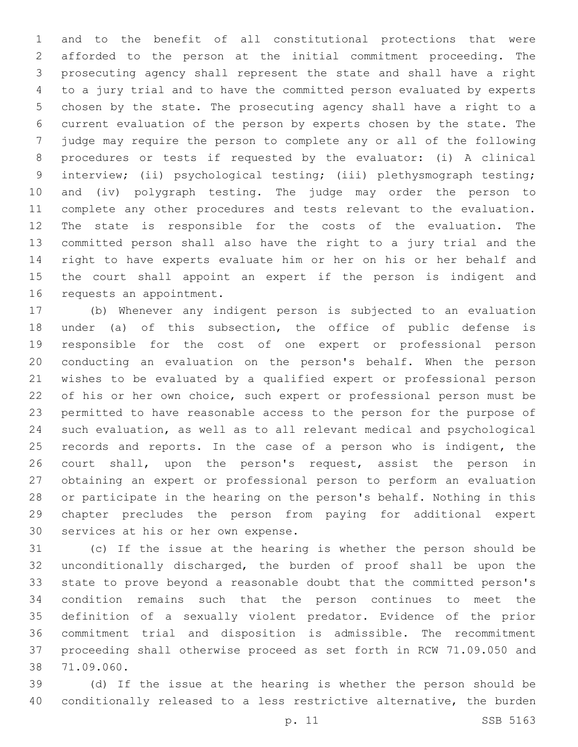and to the benefit of all constitutional protections that were afforded to the person at the initial commitment proceeding. The prosecuting agency shall represent the state and shall have a right to a jury trial and to have the committed person evaluated by experts chosen by the state. The prosecuting agency shall have a right to a current evaluation of the person by experts chosen by the state. The judge may require the person to complete any or all of the following procedures or tests if requested by the evaluator: (i) A clinical interview; (ii) psychological testing; (iii) plethysmograph testing; and (iv) polygraph testing. The judge may order the person to complete any other procedures and tests relevant to the evaluation. The state is responsible for the costs of the evaluation. The committed person shall also have the right to a jury trial and the right to have experts evaluate him or her on his or her behalf and the court shall appoint an expert if the person is indigent and 16 requests an appointment.

 (b) Whenever any indigent person is subjected to an evaluation under (a) of this subsection, the office of public defense is responsible for the cost of one expert or professional person conducting an evaluation on the person's behalf. When the person wishes to be evaluated by a qualified expert or professional person of his or her own choice, such expert or professional person must be permitted to have reasonable access to the person for the purpose of such evaluation, as well as to all relevant medical and psychological 25 records and reports. In the case of a person who is indigent, the court shall, upon the person's request, assist the person in obtaining an expert or professional person to perform an evaluation or participate in the hearing on the person's behalf. Nothing in this chapter precludes the person from paying for additional expert 30 services at his or her own expense.

 (c) If the issue at the hearing is whether the person should be unconditionally discharged, the burden of proof shall be upon the state to prove beyond a reasonable doubt that the committed person's condition remains such that the person continues to meet the definition of a sexually violent predator. Evidence of the prior commitment trial and disposition is admissible. The recommitment proceeding shall otherwise proceed as set forth in RCW 71.09.050 and 71.09.060.38

 (d) If the issue at the hearing is whether the person should be conditionally released to a less restrictive alternative, the burden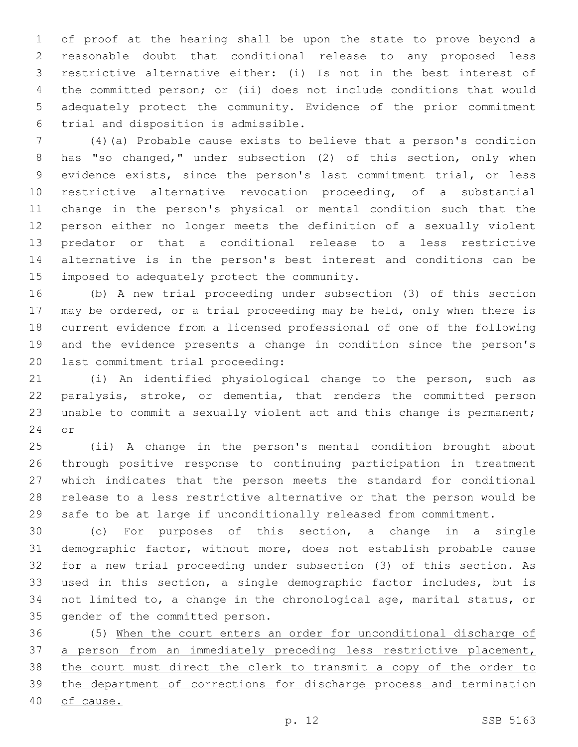of proof at the hearing shall be upon the state to prove beyond a reasonable doubt that conditional release to any proposed less restrictive alternative either: (i) Is not in the best interest of the committed person; or (ii) does not include conditions that would adequately protect the community. Evidence of the prior commitment trial and disposition is admissible.6

 (4)(a) Probable cause exists to believe that a person's condition has "so changed," under subsection (2) of this section, only when evidence exists, since the person's last commitment trial, or less restrictive alternative revocation proceeding, of a substantial change in the person's physical or mental condition such that the person either no longer meets the definition of a sexually violent predator or that a conditional release to a less restrictive alternative is in the person's best interest and conditions can be 15 imposed to adequately protect the community.

 (b) A new trial proceeding under subsection (3) of this section may be ordered, or a trial proceeding may be held, only when there is current evidence from a licensed professional of one of the following and the evidence presents a change in condition since the person's 20 last commitment trial proceeding:

 (i) An identified physiological change to the person, such as paralysis, stroke, or dementia, that renders the committed person unable to commit a sexually violent act and this change is permanent; 24 or

 (ii) A change in the person's mental condition brought about through positive response to continuing participation in treatment which indicates that the person meets the standard for conditional release to a less restrictive alternative or that the person would be safe to be at large if unconditionally released from commitment.

 (c) For purposes of this section, a change in a single demographic factor, without more, does not establish probable cause for a new trial proceeding under subsection (3) of this section. As used in this section, a single demographic factor includes, but is not limited to, a change in the chronological age, marital status, or 35 gender of the committed person.

 (5) When the court enters an order for unconditional discharge of a person from an immediately preceding less restrictive placement, the court must direct the clerk to transmit a copy of the order to the department of corrections for discharge process and termination of cause.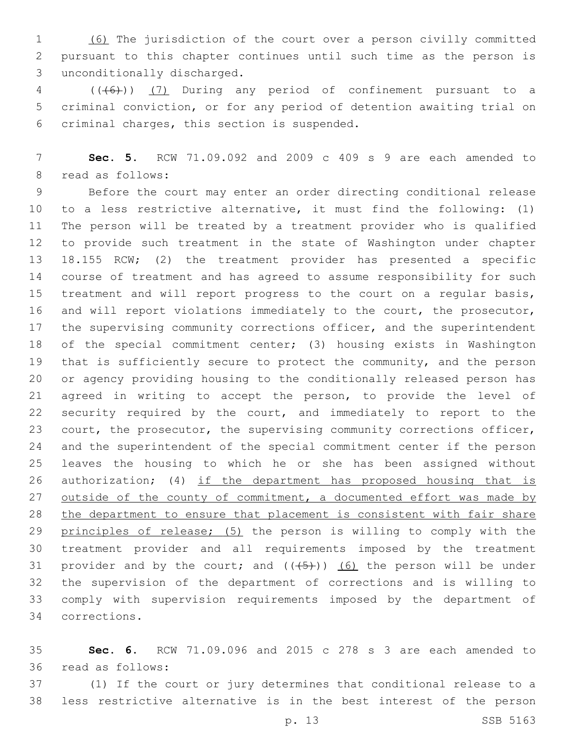(6) The jurisdiction of the court over a person civilly committed pursuant to this chapter continues until such time as the person is unconditionally discharged.3

 (((6))) (7) During any period of confinement pursuant to a criminal conviction, or for any period of detention awaiting trial on 6 criminal charges, this section is suspended.

 **Sec. 5.** RCW 71.09.092 and 2009 c 409 s 9 are each amended to 8 read as follows:

 Before the court may enter an order directing conditional release to a less restrictive alternative, it must find the following: (1) The person will be treated by a treatment provider who is qualified to provide such treatment in the state of Washington under chapter 18.155 RCW; (2) the treatment provider has presented a specific course of treatment and has agreed to assume responsibility for such treatment and will report progress to the court on a regular basis, and will report violations immediately to the court, the prosecutor, 17 the supervising community corrections officer, and the superintendent of the special commitment center; (3) housing exists in Washington that is sufficiently secure to protect the community, and the person or agency providing housing to the conditionally released person has agreed in writing to accept the person, to provide the level of security required by the court, and immediately to report to the 23 court, the prosecutor, the supervising community corrections officer, and the superintendent of the special commitment center if the person leaves the housing to which he or she has been assigned without 26 authorization; (4) if the department has proposed housing that is 27 outside of the county of commitment, a documented effort was made by the department to ensure that placement is consistent with fair share 29 principles of release; (5) the person is willing to comply with the treatment provider and all requirements imposed by the treatment 31 provider and by the court; and  $((+5))$  (6) the person will be under the supervision of the department of corrections and is willing to comply with supervision requirements imposed by the department of corrections.34

 **Sec. 6.** RCW 71.09.096 and 2015 c 278 s 3 are each amended to 36 read as follows:

 (1) If the court or jury determines that conditional release to a less restrictive alternative is in the best interest of the person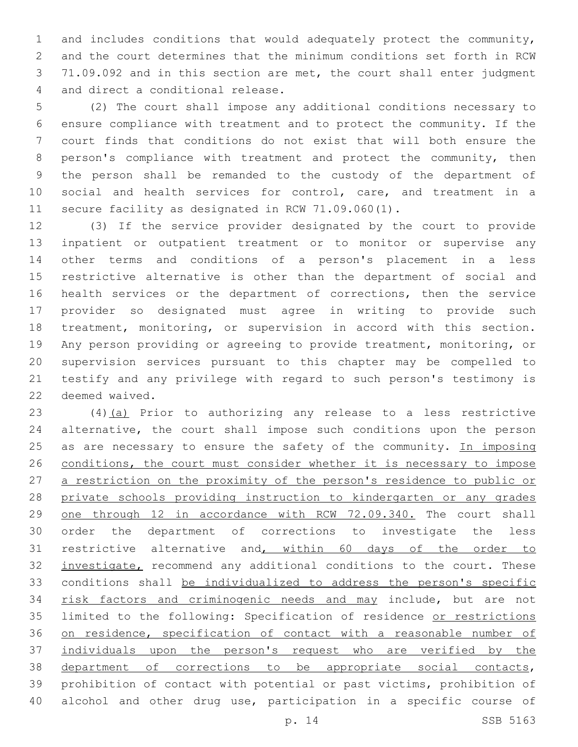and includes conditions that would adequately protect the community, and the court determines that the minimum conditions set forth in RCW 71.09.092 and in this section are met, the court shall enter judgment 4 and direct a conditional release.

 (2) The court shall impose any additional conditions necessary to ensure compliance with treatment and to protect the community. If the court finds that conditions do not exist that will both ensure the person's compliance with treatment and protect the community, then the person shall be remanded to the custody of the department of social and health services for control, care, and treatment in a secure facility as designated in RCW 71.09.060(1).

 (3) If the service provider designated by the court to provide inpatient or outpatient treatment or to monitor or supervise any other terms and conditions of a person's placement in a less restrictive alternative is other than the department of social and health services or the department of corrections, then the service provider so designated must agree in writing to provide such treatment, monitoring, or supervision in accord with this section. Any person providing or agreeing to provide treatment, monitoring, or supervision services pursuant to this chapter may be compelled to testify and any privilege with regard to such person's testimony is 22 deemed waived.

 (4)(a) Prior to authorizing any release to a less restrictive alternative, the court shall impose such conditions upon the person 25 as are necessary to ensure the safety of the community. In imposing 26 conditions, the court must consider whether it is necessary to impose a restriction on the proximity of the person's residence to public or private schools providing instruction to kindergarten or any grades one through 12 in accordance with RCW 72.09.340. The court shall order the department of corrections to investigate the less restrictive alternative and, within 60 days of the order to 32 investigate, recommend any additional conditions to the court. These conditions shall be individualized to address the person's specific 34 risk factors and criminogenic needs and may include, but are not limited to the following: Specification of residence or restrictions on residence, specification of contact with a reasonable number of individuals upon the person's request who are verified by the department of corrections to be appropriate social contacts, prohibition of contact with potential or past victims, prohibition of alcohol and other drug use, participation in a specific course of

p. 14 SSB 5163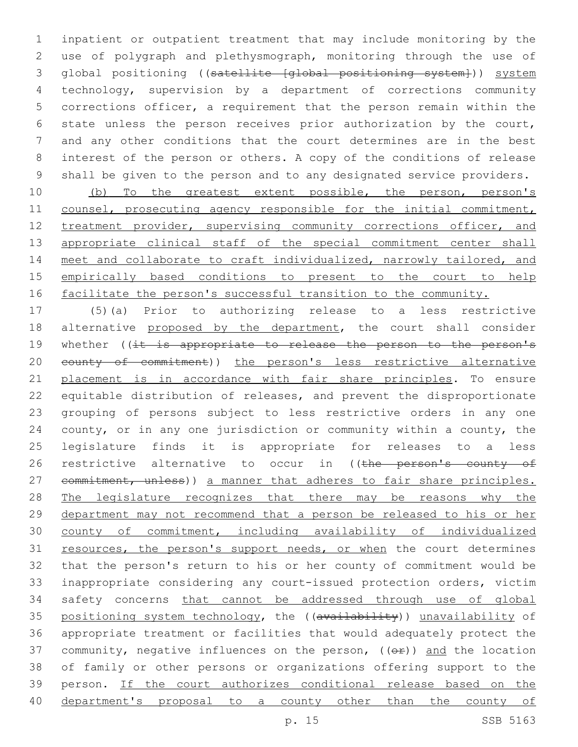inpatient or outpatient treatment that may include monitoring by the use of polygraph and plethysmograph, monitoring through the use of global positioning ((satellite [global positioning system])) system technology, supervision by a department of corrections community corrections officer, a requirement that the person remain within the state unless the person receives prior authorization by the court, and any other conditions that the court determines are in the best interest of the person or others. A copy of the conditions of release shall be given to the person and to any designated service providers.

 (b) To the greatest extent possible, the person, person's 11 counsel, prosecuting agency responsible for the initial commitment, 12 treatment provider, supervising community corrections officer, and 13 appropriate clinical staff of the special commitment center shall 14 meet and collaborate to craft individualized, narrowly tailored, and empirically based conditions to present to the court to help 16 facilitate the person's successful transition to the community.

 (5)(a) Prior to authorizing release to a less restrictive 18 alternative proposed by the department, the court shall consider 19 whether ((it is appropriate to release the person to the person's 20 eounty of commitment)) the person's less restrictive alternative placement is in accordance with fair share principles. To ensure equitable distribution of releases, and prevent the disproportionate grouping of persons subject to less restrictive orders in any one county, or in any one jurisdiction or community within a county, the legislature finds it is appropriate for releases to a less 26 restrictive alternative to occur in ((the person's county of 27 commitment, unless)) a manner that adheres to fair share principles. 28 The legislature recognizes that there may be reasons why the department may not recommend that a person be released to his or her county of commitment, including availability of individualized 31 resources, the person's support needs, or when the court determines that the person's return to his or her county of commitment would be inappropriate considering any court-issued protection orders, victim safety concerns that cannot be addressed through use of global 35 positioning system technology, the ((availability)) unavailability of appropriate treatment or facilities that would adequately protect the 37 community, negative influences on the person,  $($   $($  $\Theta$  $f$  $)$ ) and the location of family or other persons or organizations offering support to the person. If the court authorizes conditional release based on the department's proposal to a county other than the county of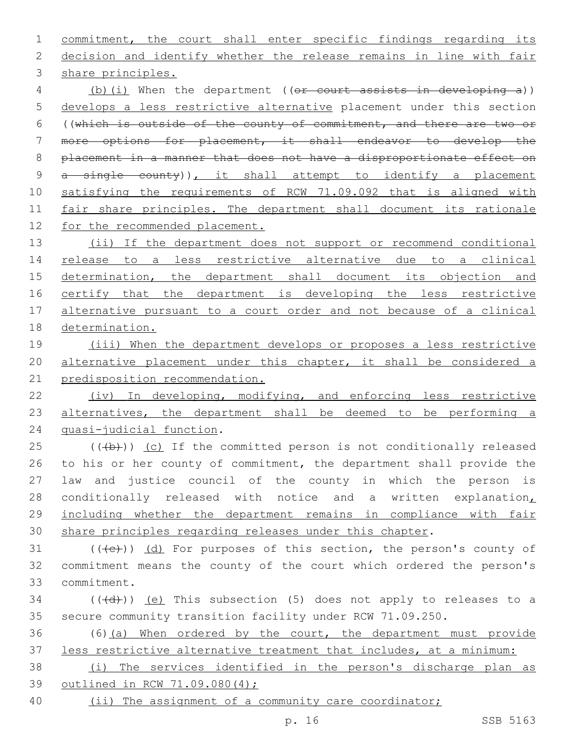commitment, the court shall enter specific findings regarding its decision and identify whether the release remains in line with fair 3 share principles. 4 (b)(i) When the department ((or court assists in developing a)) develops a less restrictive alternative placement under this section ((which is outside of the county of commitment, and there are two or more options for placement, it shall endeavor to develop the placement in a manner that does not have a disproportionate effect on 9 a single county)), it shall attempt to identify a placement satisfying the requirements of RCW 71.09.092 that is aligned with 11 fair share principles. The department shall document its rationale 12 for the recommended placement. 13 (ii) If the department does not support or recommend conditional release to a less restrictive alternative due to a clinical 15 determination, the department shall document its objection and 16 certify that the department is developing the less restrictive alternative pursuant to a court order and not because of a clinical determination. (iii) When the department develops or proposes a less restrictive alternative placement under this chapter, it shall be considered a predisposition recommendation. (iv) In developing, modifying, and enforcing less restrictive 23 alternatives, the department shall be deemed to be performing a 24 quasi-judicial function.  $(1 + b)$ ) (c) If the committed person is not conditionally released 26 to his or her county of commitment, the department shall provide the law and justice council of the county in which the person is 28 conditionally released with notice and a written explanation, including whether the department remains in compliance with fair share principles regarding releases under this chapter. 31  $((+e))$   $(d)$  For purposes of this section, the person's county of commitment means the county of the court which ordered the person's

commitment.33

 (( $\left(\frac{1}{4}+\right)$ ) (e) This subsection (5) does not apply to releases to a secure community transition facility under RCW 71.09.250.

 (6)(a) When ordered by the court, the department must provide less restrictive alternative treatment that includes, at a minimum:

 (i) The services identified in the person's discharge plan as outlined in RCW 71.09.080(4);

(ii) The assignment of a community care coordinator;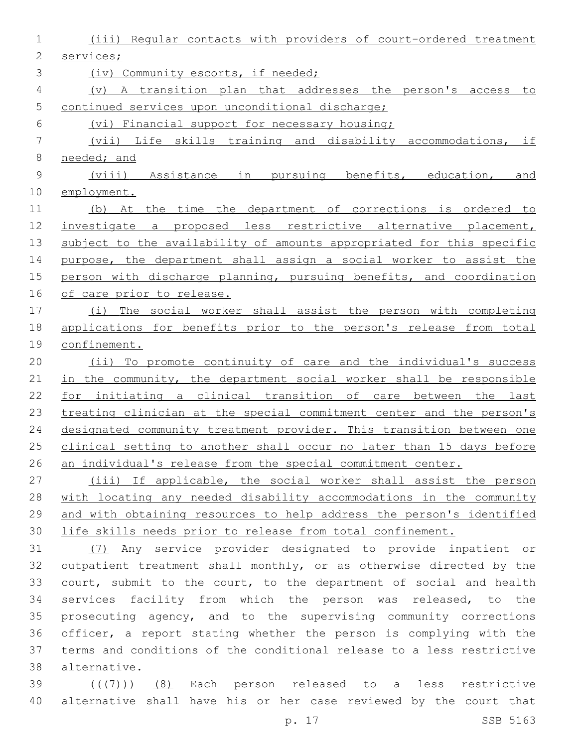| 1            | (iii) Reqular contacts with providers of court-ordered treatment      |
|--------------|-----------------------------------------------------------------------|
| $\mathbf{2}$ | services;                                                             |
| 3            | (iv) Community escorts, if needed;                                    |
| 4            | A transition plan that addresses the person's access to<br>$(\nabla)$ |
| 5            | continued services upon unconditional discharge;                      |
| 6            | (vi) Financial support for necessary housing;                         |
| 7            | (vii) Life skills training and disability accommodations,<br>if       |
| 8            | needed; and                                                           |
| $\mathsf 9$  | pursuing benefits, education,<br>(viii) Assistance in<br>and          |
| 10           | employment.                                                           |
| 11           | (b) At the time the department of corrections is ordered to           |
| 12           | investigate a proposed less restrictive alternative placement,        |
| 13           | subject to the availability of amounts appropriated for this specific |
| 14           | purpose, the department shall assign a social worker to assist the    |
| 15           | person with discharge planning, pursuing benefits, and coordination   |
| 16           | of care prior to release.                                             |
| 17           | (i) The social worker shall assist the person with completing         |
| 18           | applications for benefits prior to the person's release from total    |
| 19           | confinement.                                                          |
| 20           | (ii) To promote continuity of care and the individual's success       |
| 21           | in the community, the department social worker shall be responsible   |
| 22           | for initiating a clinical transition of care between the last         |
| 23           | treating clinician at the special commitment center and the person's  |
| 24           | designated community treatment provider. This transition between one  |
| 25           | clinical setting to another shall occur no later than 15 days before  |
| 26           | an individual's release from the special commitment center.           |
| 27           | (iii) If applicable, the social worker shall assist the person        |
| 28           | with locating any needed disability accommodations in the community   |
| 29           | and with obtaining resources to help address the person's identified  |
| 30           | life skills needs prior to release from total confinement.            |
| 31           | (7) Any service provider designated to provide inpatient or           |
| 32           | outpatient treatment shall monthly, or as otherwise directed by the   |
| 33           | court, submit to the court, to the department of social and health    |
| 34           | services facility from which the person was released, to the          |
| 35           | prosecuting agency, and to the supervising community corrections      |
| 36           | officer, a report stating whether the person is complying with the    |
| 37           | terms and conditions of the conditional release to a less restrictive |

alternative.38

39 (((7)) (8) Each person released to a less restrictive alternative shall have his or her case reviewed by the court that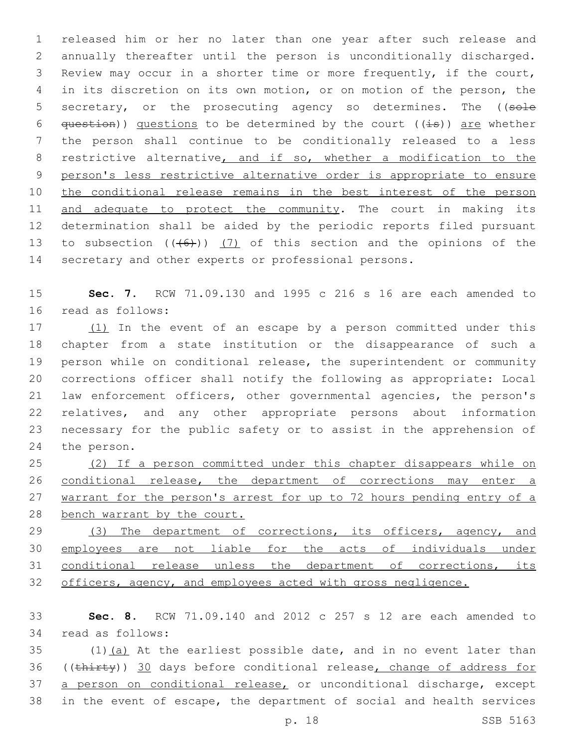released him or her no later than one year after such release and annually thereafter until the person is unconditionally discharged. Review may occur in a shorter time or more frequently, if the court, in its discretion on its own motion, or on motion of the person, the 5 secretary, or the prosecuting agency so determines. The ((sole  $q$ uestion)) questions to be determined by the court ((is)) are whether the person shall continue to be conditionally released to a less 8 restrictive alternative, and if so, whether a modification to the person's less restrictive alternative order is appropriate to ensure 10 the conditional release remains in the best interest of the person 11 and adequate to protect the community. The court in making its determination shall be aided by the periodic reports filed pursuant 13 to subsection  $((+6))$   $(7)$  of this section and the opinions of the secretary and other experts or professional persons.

15 **Sec. 7.** RCW 71.09.130 and 1995 c 216 s 16 are each amended to 16 read as follows:

17 (1) In the event of an escape by a person committed under this chapter from a state institution or the disappearance of such a person while on conditional release, the superintendent or community corrections officer shall notify the following as appropriate: Local law enforcement officers, other governmental agencies, the person's relatives, and any other appropriate persons about information necessary for the public safety or to assist in the apprehension of 24 the person.

 (2) If a person committed under this chapter disappears while on conditional release, the department of corrections may enter a 27 warrant for the person's arrest for up to 72 hours pending entry of a bench warrant by the court.

29 (3) The department of corrections, its officers, agency, and 30 employees are not liable for the acts of individuals under 31 conditional release unless the department of corrections, its 32 officers, agency, and employees acted with gross negligence.

33 **Sec. 8.** RCW 71.09.140 and 2012 c 257 s 12 are each amended to 34 read as follows:

 $35$  (1)(a) At the earliest possible date, and in no event later than 36 ((thirty)) 30 days before conditional release, change of address for 37 a person on conditional release, or unconditional discharge, except 38 in the event of escape, the department of social and health services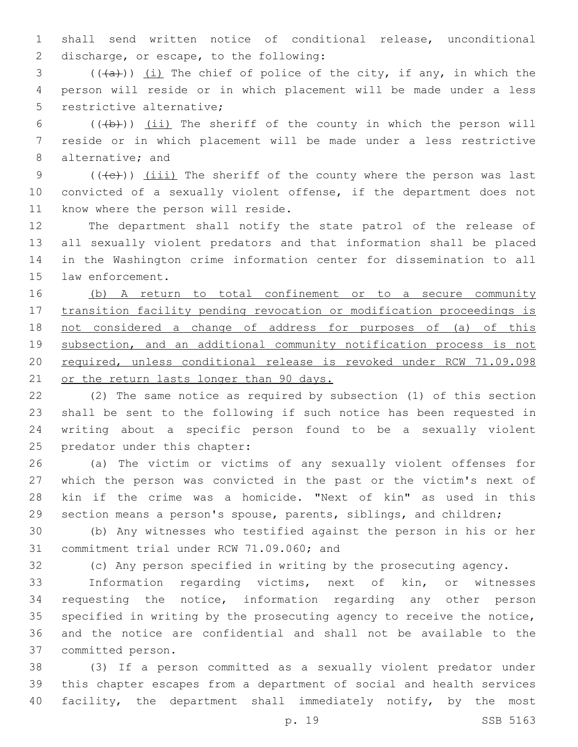shall send written notice of conditional release, unconditional 2 discharge, or escape, to the following:

 (( $(a+)$ )) <u>(i)</u> The chief of police of the city, if any, in which the person will reside or in which placement will be made under a less 5 restrictive alternative:

6  $((+b))$   $(ii)$  The sheriff of the county in which the person will reside or in which placement will be made under a less restrictive 8 alternative; and

9  $((+e))$  (iii) The sheriff of the county where the person was last convicted of a sexually violent offense, if the department does not 11 know where the person will reside.

 The department shall notify the state patrol of the release of all sexually violent predators and that information shall be placed in the Washington crime information center for dissemination to all 15 law enforcement.

 (b) A return to total confinement or to a secure community transition facility pending revocation or modification proceedings is not considered a change of address for purposes of (a) of this subsection, and an additional community notification process is not required, unless conditional release is revoked under RCW 71.09.098 21 or the return lasts longer than 90 days.

 (2) The same notice as required by subsection (1) of this section shall be sent to the following if such notice has been requested in writing about a specific person found to be a sexually violent 25 predator under this chapter:

 (a) The victim or victims of any sexually violent offenses for which the person was convicted in the past or the victim's next of kin if the crime was a homicide. "Next of kin" as used in this section means a person's spouse, parents, siblings, and children;

 (b) Any witnesses who testified against the person in his or her 31 commitment trial under RCW 71.09.060; and

(c) Any person specified in writing by the prosecuting agency.

 Information regarding victims, next of kin, or witnesses requesting the notice, information regarding any other person specified in writing by the prosecuting agency to receive the notice, and the notice are confidential and shall not be available to the 37 committed person.

 (3) If a person committed as a sexually violent predator under this chapter escapes from a department of social and health services facility, the department shall immediately notify, by the most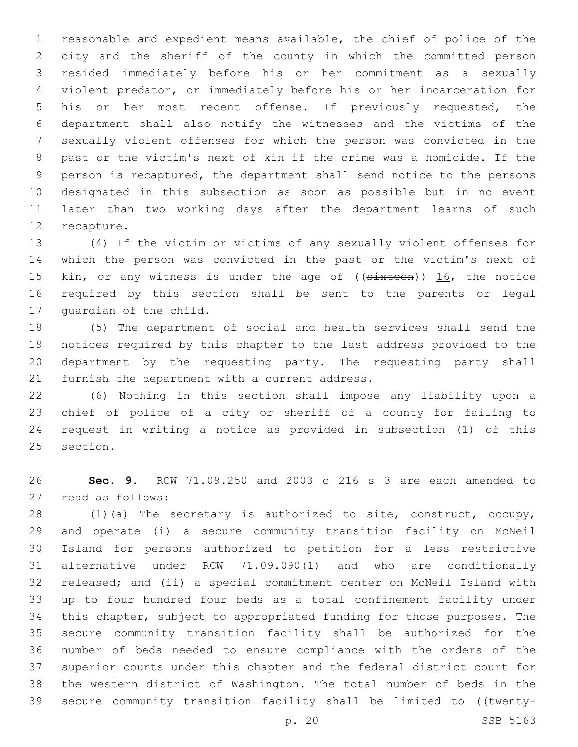reasonable and expedient means available, the chief of police of the city and the sheriff of the county in which the committed person resided immediately before his or her commitment as a sexually violent predator, or immediately before his or her incarceration for his or her most recent offense. If previously requested, the department shall also notify the witnesses and the victims of the sexually violent offenses for which the person was convicted in the past or the victim's next of kin if the crime was a homicide. If the person is recaptured, the department shall send notice to the persons designated in this subsection as soon as possible but in no event later than two working days after the department learns of such 12 recapture.

 (4) If the victim or victims of any sexually violent offenses for which the person was convicted in the past or the victim's next of 15 kin, or any witness is under the age of ((sixteen)) 16, the notice required by this section shall be sent to the parents or legal 17 quardian of the child.

 (5) The department of social and health services shall send the notices required by this chapter to the last address provided to the department by the requesting party. The requesting party shall 21 furnish the department with a current address.

 (6) Nothing in this section shall impose any liability upon a chief of police of a city or sheriff of a county for failing to request in writing a notice as provided in subsection (1) of this 25 section.

 **Sec. 9.** RCW 71.09.250 and 2003 c 216 s 3 are each amended to 27 read as follows:

 (1)(a) The secretary is authorized to site, construct, occupy, and operate (i) a secure community transition facility on McNeil Island for persons authorized to petition for a less restrictive alternative under RCW 71.09.090(1) and who are conditionally released; and (ii) a special commitment center on McNeil Island with up to four hundred four beds as a total confinement facility under this chapter, subject to appropriated funding for those purposes. The secure community transition facility shall be authorized for the number of beds needed to ensure compliance with the orders of the superior courts under this chapter and the federal district court for the western district of Washington. The total number of beds in the 39 secure community transition facility shall be limited to ((twenty-

p. 20 SSB 5163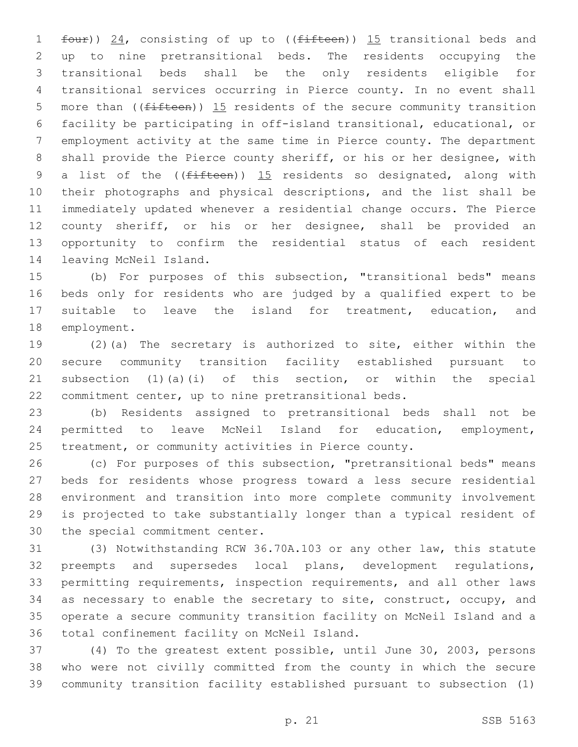1 four)) 24, consisting of up to ((fifteen)) 15 transitional beds and up to nine pretransitional beds. The residents occupying the transitional beds shall be the only residents eligible for transitional services occurring in Pierce county. In no event shall 5 more than ( $(f$ ifteen)) 15 residents of the secure community transition facility be participating in off-island transitional, educational, or employment activity at the same time in Pierce county. The department shall provide the Pierce county sheriff, or his or her designee, with 9 a list of the  $($ ( $f$ ifteen)) 15 residents so designated, along with their photographs and physical descriptions, and the list shall be immediately updated whenever a residential change occurs. The Pierce county sheriff, or his or her designee, shall be provided an opportunity to confirm the residential status of each resident 14 leaving McNeil Island.

 (b) For purposes of this subsection, "transitional beds" means beds only for residents who are judged by a qualified expert to be suitable to leave the island for treatment, education, and 18 employment.

 (2)(a) The secretary is authorized to site, either within the secure community transition facility established pursuant to subsection (1)(a)(i) of this section, or within the special commitment center, up to nine pretransitional beds.

 (b) Residents assigned to pretransitional beds shall not be permitted to leave McNeil Island for education, employment, treatment, or community activities in Pierce county.

 (c) For purposes of this subsection, "pretransitional beds" means beds for residents whose progress toward a less secure residential environment and transition into more complete community involvement is projected to take substantially longer than a typical resident of 30 the special commitment center.

 (3) Notwithstanding RCW 36.70A.103 or any other law, this statute preempts and supersedes local plans, development regulations, permitting requirements, inspection requirements, and all other laws as necessary to enable the secretary to site, construct, occupy, and operate a secure community transition facility on McNeil Island and a 36 total confinement facility on McNeil Island.

 (4) To the greatest extent possible, until June 30, 2003, persons who were not civilly committed from the county in which the secure community transition facility established pursuant to subsection (1)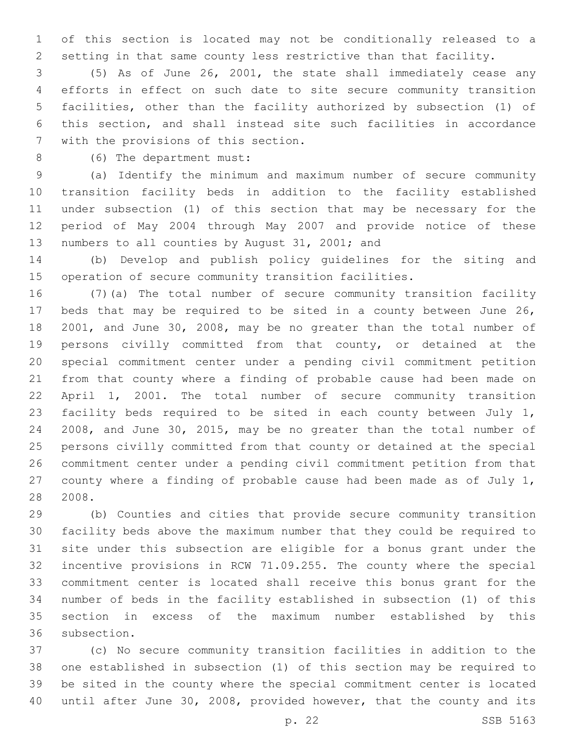of this section is located may not be conditionally released to a setting in that same county less restrictive than that facility.

 (5) As of June 26, 2001, the state shall immediately cease any efforts in effect on such date to site secure community transition facilities, other than the facility authorized by subsection (1) of this section, and shall instead site such facilities in accordance 7 with the provisions of this section.

8 (6) The department must:

 (a) Identify the minimum and maximum number of secure community transition facility beds in addition to the facility established under subsection (1) of this section that may be necessary for the period of May 2004 through May 2007 and provide notice of these 13 numbers to all counties by August 31, 2001; and

 (b) Develop and publish policy guidelines for the siting and operation of secure community transition facilities.

 (7)(a) The total number of secure community transition facility beds that may be required to be sited in a county between June 26, 2001, and June 30, 2008, may be no greater than the total number of persons civilly committed from that county, or detained at the special commitment center under a pending civil commitment petition from that county where a finding of probable cause had been made on April 1, 2001. The total number of secure community transition facility beds required to be sited in each county between July 1, 2008, and June 30, 2015, may be no greater than the total number of persons civilly committed from that county or detained at the special commitment center under a pending civil commitment petition from that county where a finding of probable cause had been made as of July 1, 2008.

 (b) Counties and cities that provide secure community transition facility beds above the maximum number that they could be required to site under this subsection are eligible for a bonus grant under the incentive provisions in RCW 71.09.255. The county where the special commitment center is located shall receive this bonus grant for the number of beds in the facility established in subsection (1) of this section in excess of the maximum number established by this 36 subsection.

 (c) No secure community transition facilities in addition to the one established in subsection (1) of this section may be required to be sited in the county where the special commitment center is located until after June 30, 2008, provided however, that the county and its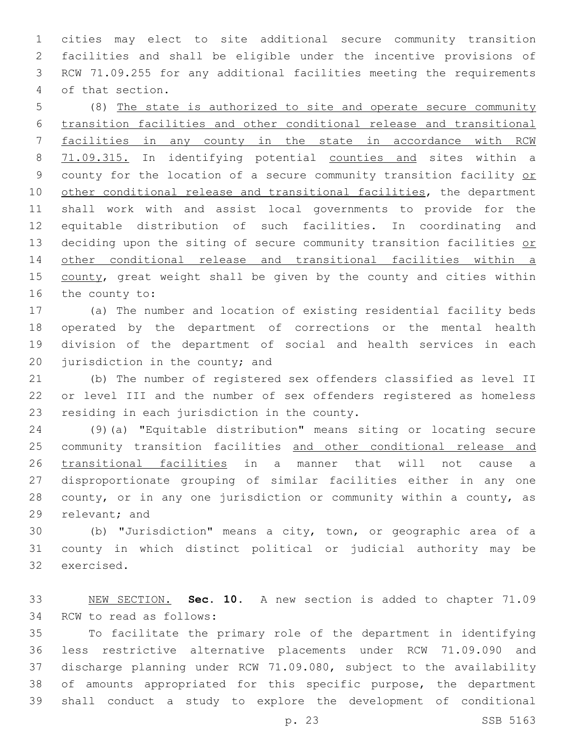cities may elect to site additional secure community transition facilities and shall be eligible under the incentive provisions of RCW 71.09.255 for any additional facilities meeting the requirements 4 of that section.

 (8) The state is authorized to site and operate secure community transition facilities and other conditional release and transitional facilities in any county in the state in accordance with RCW 71.09.315. In identifying potential counties and sites within a 9 county for the location of a secure community transition facility or other conditional release and transitional facilities, the department shall work with and assist local governments to provide for the equitable distribution of such facilities. In coordinating and 13 deciding upon the siting of secure community transition facilities or other conditional release and transitional facilities within a 15 county, great weight shall be given by the county and cities within 16 the county to:

 (a) The number and location of existing residential facility beds operated by the department of corrections or the mental health division of the department of social and health services in each 20 jurisdiction in the county; and

 (b) The number of registered sex offenders classified as level II or level III and the number of sex offenders registered as homeless 23 residing in each jurisdiction in the county.

 (9)(a) "Equitable distribution" means siting or locating secure 25 community transition facilities and other conditional release and transitional facilities in a manner that will not cause a disproportionate grouping of similar facilities either in any one county, or in any one jurisdiction or community within a county, as 29 relevant; and

 (b) "Jurisdiction" means a city, town, or geographic area of a county in which distinct political or judicial authority may be 32 exercised.

 NEW SECTION. **Sec. 10.** A new section is added to chapter 71.09 34 RCW to read as follows:

 To facilitate the primary role of the department in identifying less restrictive alternative placements under RCW 71.09.090 and discharge planning under RCW 71.09.080, subject to the availability of amounts appropriated for this specific purpose, the department shall conduct a study to explore the development of conditional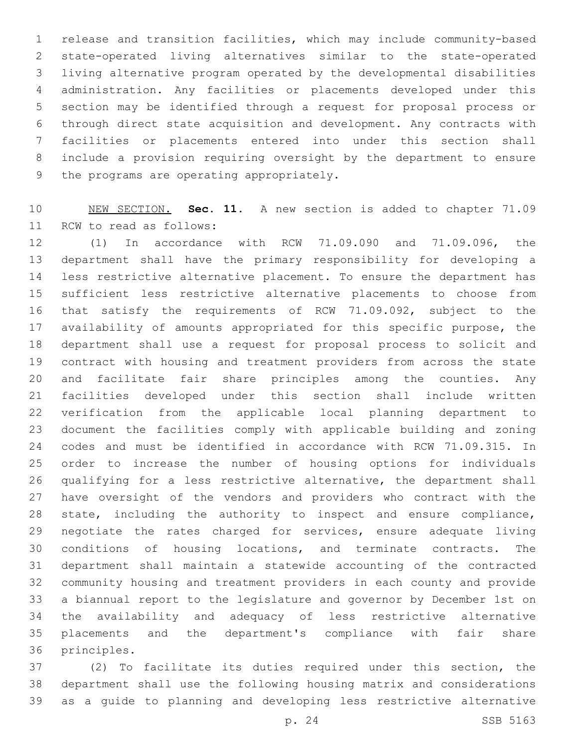release and transition facilities, which may include community-based state-operated living alternatives similar to the state-operated living alternative program operated by the developmental disabilities administration. Any facilities or placements developed under this section may be identified through a request for proposal process or through direct state acquisition and development. Any contracts with facilities or placements entered into under this section shall include a provision requiring oversight by the department to ensure 9 the programs are operating appropriately.

 NEW SECTION. **Sec. 11.** A new section is added to chapter 71.09 11 RCW to read as follows:

 (1) In accordance with RCW 71.09.090 and 71.09.096, the department shall have the primary responsibility for developing a less restrictive alternative placement. To ensure the department has sufficient less restrictive alternative placements to choose from that satisfy the requirements of RCW 71.09.092, subject to the 17 availability of amounts appropriated for this specific purpose, the department shall use a request for proposal process to solicit and contract with housing and treatment providers from across the state and facilitate fair share principles among the counties. Any facilities developed under this section shall include written verification from the applicable local planning department to document the facilities comply with applicable building and zoning codes and must be identified in accordance with RCW 71.09.315. In order to increase the number of housing options for individuals qualifying for a less restrictive alternative, the department shall have oversight of the vendors and providers who contract with the state, including the authority to inspect and ensure compliance, negotiate the rates charged for services, ensure adequate living conditions of housing locations, and terminate contracts. The department shall maintain a statewide accounting of the contracted community housing and treatment providers in each county and provide a biannual report to the legislature and governor by December 1st on the availability and adequacy of less restrictive alternative placements and the department's compliance with fair share 36 principles.

 (2) To facilitate its duties required under this section, the department shall use the following housing matrix and considerations as a guide to planning and developing less restrictive alternative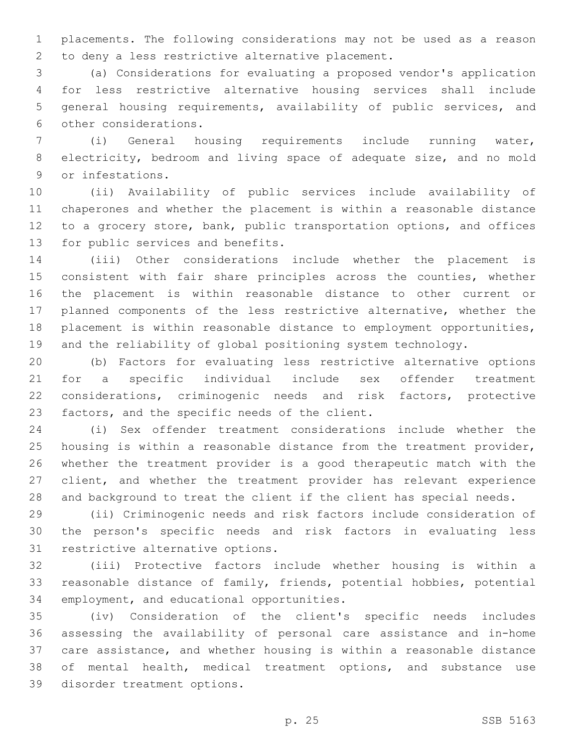placements. The following considerations may not be used as a reason 2 to deny a less restrictive alternative placement.

 (a) Considerations for evaluating a proposed vendor's application for less restrictive alternative housing services shall include general housing requirements, availability of public services, and 6 other considerations.

 (i) General housing requirements include running water, electricity, bedroom and living space of adequate size, and no mold 9 or infestations.

 (ii) Availability of public services include availability of chaperones and whether the placement is within a reasonable distance to a grocery store, bank, public transportation options, and offices 13 for public services and benefits.

 (iii) Other considerations include whether the placement is consistent with fair share principles across the counties, whether the placement is within reasonable distance to other current or planned components of the less restrictive alternative, whether the placement is within reasonable distance to employment opportunities, and the reliability of global positioning system technology.

 (b) Factors for evaluating less restrictive alternative options for a specific individual include sex offender treatment considerations, criminogenic needs and risk factors, protective 23 factors, and the specific needs of the client.

 (i) Sex offender treatment considerations include whether the housing is within a reasonable distance from the treatment provider, whether the treatment provider is a good therapeutic match with the client, and whether the treatment provider has relevant experience and background to treat the client if the client has special needs.

 (ii) Criminogenic needs and risk factors include consideration of the person's specific needs and risk factors in evaluating less 31 restrictive alternative options.

 (iii) Protective factors include whether housing is within a reasonable distance of family, friends, potential hobbies, potential 34 employment, and educational opportunities.

 (iv) Consideration of the client's specific needs includes assessing the availability of personal care assistance and in-home care assistance, and whether housing is within a reasonable distance of mental health, medical treatment options, and substance use 39 disorder treatment options.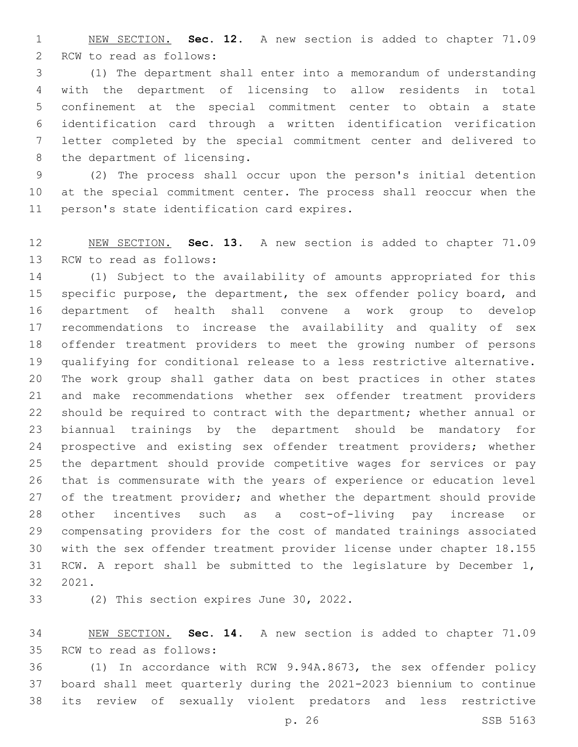NEW SECTION. **Sec. 12.** A new section is added to chapter 71.09 2 RCW to read as follows:

 (1) The department shall enter into a memorandum of understanding with the department of licensing to allow residents in total confinement at the special commitment center to obtain a state identification card through a written identification verification letter completed by the special commitment center and delivered to 8 the department of licensing.

 (2) The process shall occur upon the person's initial detention at the special commitment center. The process shall reoccur when the 11 person's state identification card expires.

 NEW SECTION. **Sec. 13.** A new section is added to chapter 71.09 13 RCW to read as follows:

 (1) Subject to the availability of amounts appropriated for this specific purpose, the department, the sex offender policy board, and department of health shall convene a work group to develop recommendations to increase the availability and quality of sex offender treatment providers to meet the growing number of persons qualifying for conditional release to a less restrictive alternative. The work group shall gather data on best practices in other states and make recommendations whether sex offender treatment providers should be required to contract with the department; whether annual or biannual trainings by the department should be mandatory for 24 prospective and existing sex offender treatment providers; whether the department should provide competitive wages for services or pay that is commensurate with the years of experience or education level 27 of the treatment provider; and whether the department should provide other incentives such as a cost-of-living pay increase or compensating providers for the cost of mandated trainings associated with the sex offender treatment provider license under chapter 18.155 RCW. A report shall be submitted to the legislature by December 1, 32 2021.

33 (2) This section expires June 30, 2022.

 NEW SECTION. **Sec. 14.** A new section is added to chapter 71.09 35 RCW to read as follows:

 (1) In accordance with RCW 9.94A.8673, the sex offender policy board shall meet quarterly during the 2021-2023 biennium to continue its review of sexually violent predators and less restrictive